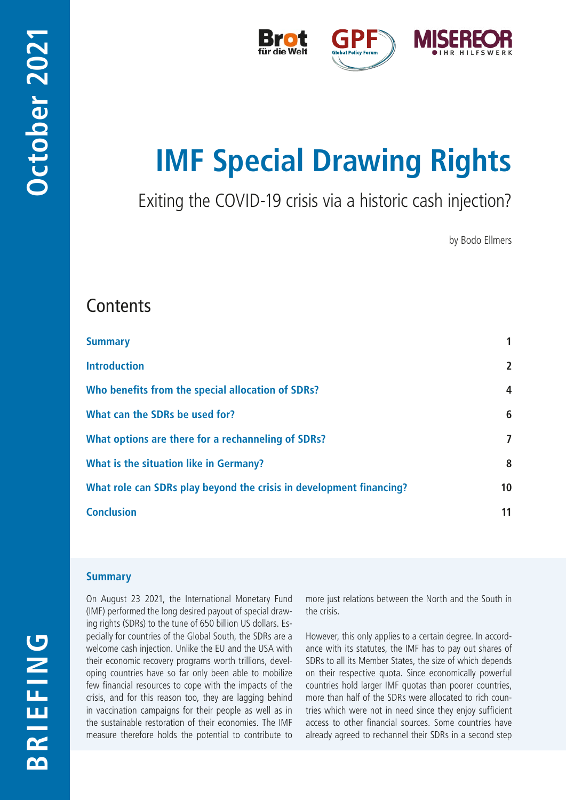

# **IMF Special Drawing Rights**

Exiting the COVID-19 crisis via a historic cash injection?

by Bodo Ellmers

# **Contents**

| <b>Summary</b>                                                      | 1              |
|---------------------------------------------------------------------|----------------|
| <b>Introduction</b>                                                 | $\overline{2}$ |
| Who benefits from the special allocation of SDRs?                   | $\overline{4}$ |
| What can the SDRs be used for?                                      | 6              |
| What options are there for a rechanneling of SDRs?                  | 7              |
| What is the situation like in Germany?                              | 8              |
| What role can SDRs play beyond the crisis in development financing? | 10             |
| <b>Conclusion</b>                                                   | 11             |
|                                                                     |                |

# **Summary**

On August 23 2021, the International Monetary Fund (IMF) performed the long desired payout of special drawing rights (SDRs) to the tune of 650 billion US dollars. Especially for countries of the Global South, the SDRs are a welcome cash injection. Unlike the EU and the USA with their economic recovery programs worth trillions, developing countries have so far only been able to mobilize few financial resources to cope with the impacts of the crisis, and for this reason too, they are lagging behind in vaccination campaigns for their people as well as in the sustainable restoration of their economies. The IMF measure therefore holds the potential to contribute to

more just relations between the North and the South in the crisis.

However, this only applies to a certain degree. In accordance with its statutes, the IMF has to pay out shares of SDRs to all its Member States, the size of which depends on their respective quota. Since economically powerful countries hold larger IMF quotas than poorer countries, more than half of the SDRs were allocated to rich countries which were not in need since they enjoy sufficient access to other financial sources. Some countries have already agreed to rechannel their SDRs in a second step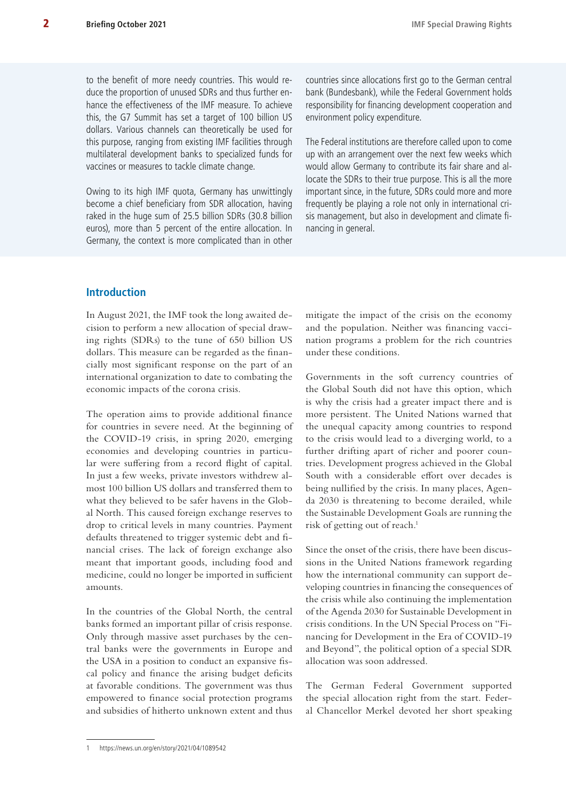<span id="page-1-0"></span>to the benefit of more needy countries. This would reduce the proportion of unused SDRs and thus further enhance the effectiveness of the IMF measure. To achieve this, the G7 Summit has set a target of 100 billion US dollars. Various channels can theoretically be used for this purpose, ranging from existing IMF facilities through multilateral development banks to specialized funds for vaccines or measures to tackle climate change.

Owing to its high IMF quota, Germany has unwittingly become a chief beneficiary from SDR allocation, having raked in the huge sum of 25.5 billion SDRs (30.8 billion euros), more than 5 percent of the entire allocation. In Germany, the context is more complicated than in other

countries since allocations first go to the German central bank (Bundesbank), while the Federal Government holds responsibility for financing development cooperation and environment policy expenditure.

The Federal institutions are therefore called upon to come up with an arrangement over the next few weeks which would allow Germany to contribute its fair share and allocate the SDRs to their true purpose. This is all the more important since, in the future, SDRs could more and more frequently be playing a role not only in international crisis management, but also in development and climate financing in general.

# **Introduction**

In August 2021, the IMF took the long awaited decision to perform a new allocation of special drawing rights (SDRs) to the tune of 650 billion US dollars. This measure can be regarded as the financially most significant response on the part of an international organization to date to combating the economic impacts of the corona crisis.

The operation aims to provide additional finance for countries in severe need. At the beginning of the COVID-19 crisis, in spring 2020, emerging economies and developing countries in particular were suffering from a record flight of capital. In just a few weeks, private investors withdrew almost 100 billion US dollars and transferred them to what they believed to be safer havens in the Global North. This caused foreign exchange reserves to drop to critical levels in many countries. Payment defaults threatened to trigger systemic debt and financial crises. The lack of foreign exchange also meant that important goods, including food and medicine, could no longer be imported in sufficient amounts.

In the countries of the Global North, the central banks formed an important pillar of crisis response. Only through massive asset purchases by the central banks were the governments in Europe and the USA in a position to conduct an expansive fiscal policy and finance the arising budget deficits at favorable conditions. The government was thus empowered to finance social protection programs and subsidies of hitherto unknown extent and thus mitigate the impact of the crisis on the economy and the population. Neither was financing vaccination programs a problem for the rich countries under these conditions.

Governments in the soft currency countries of the Global South did not have this option, which is why the crisis had a greater impact there and is more persistent. The United Nations warned that the unequal capacity among countries to respond to the crisis would lead to a diverging world, to a further drifting apart of richer and poorer countries. Development progress achieved in the Global South with a considerable effort over decades is being nullified by the crisis. In many places, Agenda 2030 is threatening to become derailed, while the Sustainable Development Goals are running the risk of getting out of reach.<sup>1</sup>

Since the onset of the crisis, there have been discussions in the United Nations framework regarding how the international community can support developing countries in financing the consequences of the crisis while also continuing the implementation of the Agenda 2030 for Sustainable Development in crisis conditions. In the UN Special Process on "Financing for Development in the Era of COVID-19 and Beyond", the political option of a special SDR allocation was soon addressed.

The German Federal Government supported the special allocation right from the start. Federal Chancellor Merkel devoted her short speaking

<sup>1</sup> <https://news.un.org/en/story/2021/04/1089542>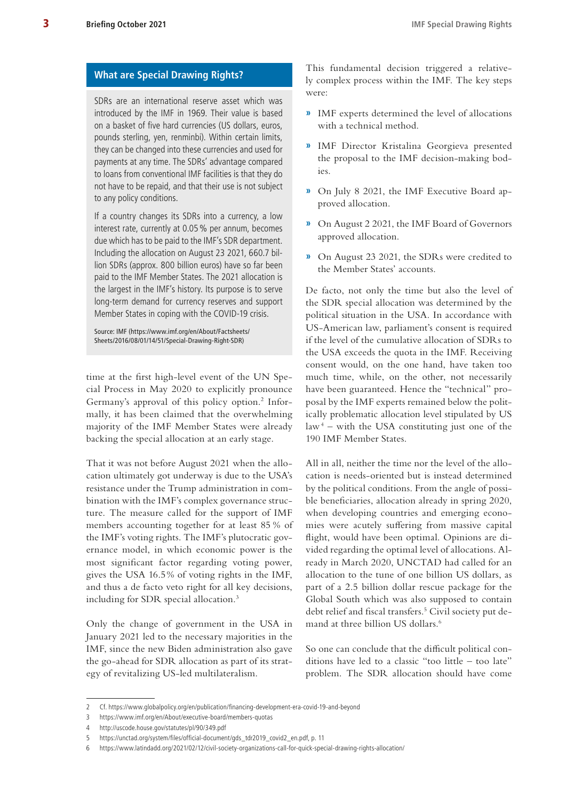#### **What are Special Drawing Rights?**

SDRs are an international reserve asset which was introduced by the IMF in 1969. Their value is based on a basket of five hard currencies (US dollars, euros, pounds sterling, yen, renminbi). Within certain limits, they can be changed into these currencies and used for payments at any time. The SDRs' advantage compared to loans from conventional IMF facilities is that they do not have to be repaid, and that their use is not subject to any policy conditions.

If a country changes its SDRs into a currency, a low interest rate, currently at 0.05% per annum, becomes due which has to be paid to the IMF's SDR department. Including the allocation on August 23 2021, 660.7 billion SDRs (approx. 800 billion euros) have so far been paid to the IMF Member States. The 2021 allocation is the largest in the IMF's history. Its purpose is to serve long-term demand for currency reserves and support Member States in coping with the COVID-19 crisis.

Source: IMF ([https://www.imf.org/en/About/Factsheets/](https://www.imf.org/en/About/Factsheets/Sheets/2016/08/01/14/51/Special-Drawing-Right-SDR) [Sheets/2016/08/01/14/51/Special-Drawing-Right-SDR\)](https://www.imf.org/en/About/Factsheets/Sheets/2016/08/01/14/51/Special-Drawing-Right-SDR)

time at the first high-level event of the UN Special Process in May 2020 to explicitly pronounce Germany's approval of this policy option.<sup>2</sup> Informally, it has been claimed that the overwhelming majority of the IMF Member States were already backing the special allocation at an early stage.

That it was not before August 2021 when the allocation ultimately got underway is due to the USA's resistance under the Trump administration in combination with the IMF's complex governance structure. The measure called for the support of IMF members accounting together for at least 85 % of the IMF's voting rights. The IMF's plutocratic governance model, in which economic power is the most significant factor regarding voting power, gives the USA 16.5% of voting rights in the IMF, and thus a de facto veto right for all key decisions, including for SDR special allocation.<sup>3</sup>

Only the change of government in the USA in January 2021 led to the necessary majorities in the IMF, since the new Biden administration also gave the go-ahead for SDR allocation as part of its strategy of revitalizing US-led multilateralism.

This fundamental decision triggered a relatively complex process within the IMF. The key steps were:

- **»** IMF experts determined the level of allocations with a technical method.
- **»** IMF Director Kristalina Georgieva presented the proposal to the IMF decision-making bodies.
- **»** On July 8 2021, the IMF Executive Board approved allocation.
- **»** On August 2 2021, the IMF Board of Governors approved allocation.
- **»** On August 23 2021, the SDRs were credited to the Member States' accounts.

De facto, not only the time but also the level of the SDR special allocation was determined by the political situation in the USA. In accordance with US-American law, parliament's consent is required if the level of the cumulative allocation of SDRs to the USA exceeds the quota in the IMF. Receiving consent would, on the one hand, have taken too much time, while, on the other, not necessarily have been guaranteed. Hence the "technical" proposal by the IMF experts remained below the politically problematic allocation level stipulated by US  $law<sup>4</sup> - with the USA constituting just one of the$ 190 IMF Member States.

All in all, neither the time nor the level of the allocation is needs-oriented but is instead determined by the political conditions. From the angle of possible beneficiaries, allocation already in spring 2020, when developing countries and emerging economies were acutely suffering from massive capital flight, would have been optimal. Opinions are divided regarding the optimal level of allocations. Already in March 2020, UNCTAD had called for an allocation to the tune of one billion US dollars, as part of a 2.5 billion dollar rescue package for the Global South which was also supposed to contain debt relief and fiscal transfers.<sup>5</sup> Civil society put demand at three billion US dollars.<sup>6</sup>

So one can conclude that the difficult political conditions have led to a classic "too little – too late" problem. The SDR allocation should have come

<sup>2</sup> Cf.<https://www.globalpolicy.org/en/publication/financing-development-era-covid-19-and-beyond>

<sup>3</sup> <https://www.imf.org/en/About/executive-board/members-quotas>

<sup>4</sup> <http://uscode.house.gov/statutes/pl/90/349.pdf>

<sup>5</sup> [https://unctad.org/system/files/official-document/gds\\_tdr2019\\_covid2\\_en.pdf,](https://unctad.org/system/files/official-document/gds_tdr2019_covid2_en.pdf) p. 11

<sup>6</sup> <https://www.latindadd.org/2021/02/12/civil-society-organizations-call-for-quick-special-drawing-rights-allocation/>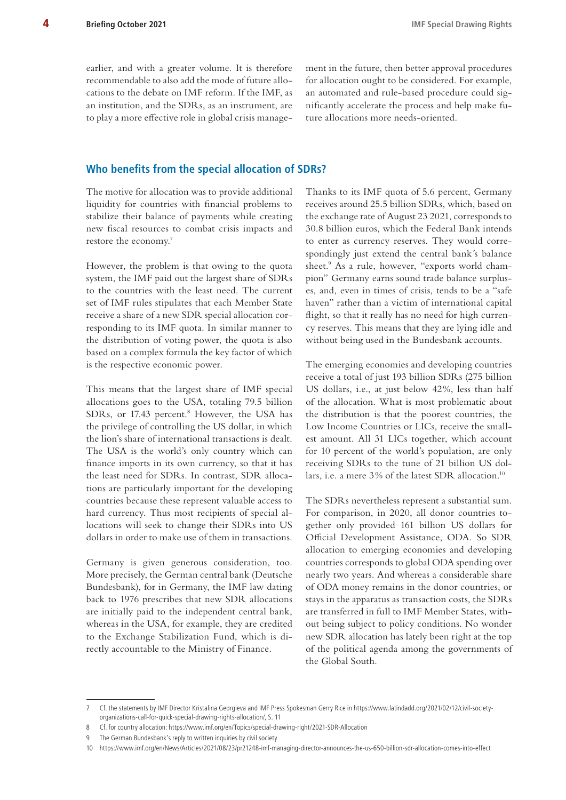<span id="page-3-0"></span>earlier, and with a greater volume. It is therefore recommendable to also add the mode of future allocations to the debate on IMF reform. If the IMF, as an institution, and the SDRs, as an instrument, are to play a more effective role in global crisis management in the future, then better approval procedures for allocation ought to be considered. For example, an automated and rule-based procedure could significantly accelerate the process and help make future allocations more needs-oriented.

#### **Who benefits from the special allocation of SDRs?**

The motive for allocation was to provide additional liquidity for countries with financial problems to stabilize their balance of payments while creating new fiscal resources to combat crisis impacts and restore the economy.7

However, the problem is that owing to the quota system, the IMF paid out the largest share of SDRs to the countries with the least need. The current set of IMF rules stipulates that each Member State receive a share of a new SDR special allocation corresponding to its IMF quota. In similar manner to the distribution of voting power, the quota is also based on a complex formula the key factor of which is the respective economic power.

This means that the largest share of IMF special allocations goes to the USA, totaling 79.5 billion SDRs, or 17.43 percent.<sup>8</sup> However, the USA has the privilege of controlling the US dollar, in which the lion's share of international transactions is dealt. The USA is the world's only country which can finance imports in its own currency, so that it has the least need for SDRs. In contrast, SDR allocations are particularly important for the developing countries because these represent valuable access to hard currency. Thus most recipients of special allocations will seek to change their SDRs into US dollars in order to make use of them in transactions.

Germany is given generous consideration, too. More precisely, the German central bank (Deutsche Bundesbank), for in Germany, the IMF law dating back to 1976 prescribes that new SDR allocations are initially paid to the independent central bank, whereas in the USA, for example, they are credited to the Exchange Stabilization Fund, which is directly accountable to the Ministry of Finance.

Thanks to its IMF quota of 5.6 percent, Germany receives around 25.5 billion SDRs, which, based on the exchange rate of August 23 2021, corresponds to 30.8 billion euros, which the Federal Bank intends to enter as currency reserves. They would correspondingly just extend the central bank´s balance sheet.<sup>9</sup> As a rule, however, "exports world champion" Germany earns sound trade balance surpluses, and, even in times of crisis, tends to be a "safe haven" rather than a victim of international capital flight, so that it really has no need for high currency reserves. This means that they are lying idle and without being used in the Bundesbank accounts.

The emerging economies and developing countries receive a total of just 193 billion SDRs (275 billion US dollars, i.e., at just below 42%, less than half of the allocation. What is most problematic about the distribution is that the poorest countries, the Low Income Countries or LICs, receive the smallest amount. All 31 LICs together, which account for 10 percent of the world's population, are only receiving SDRs to the tune of 21 billion US dollars, i.e. a mere 3% of the latest SDR allocation.<sup>10</sup>

The SDRs nevertheless represent a substantial sum. For comparison, in 2020, all donor countries together only provided 161 billion US dollars for Official Development Assistance, ODA. So SDR allocation to emerging economies and developing countries corresponds to global ODA spending over nearly two years. And whereas a considerable share of ODA money remains in the donor countries, or stays in the apparatus as transaction costs, the SDRs are transferred in full to IMF Member States, without being subject to policy conditions. No wonder new SDR allocation has lately been right at the top of the political agenda among the governments of the Global South.

<sup>7</sup> Cf. the statements by IMF Director Kristalina Georgieva and IMF Press Spokesman Gerry Rice in [https://www.latindadd.org/2021/02/12/civil-society](https://www.latindadd.org/2021/02/12/civil-society-organizations-call-for-quick-special-drawing-rights-allocation/)[organizations-call-for-quick-special-drawing-rights-allocation/,](https://www.latindadd.org/2021/02/12/civil-society-organizations-call-for-quick-special-drawing-rights-allocation/) S. 11

<sup>8</sup> Cf. for country allocation: <https://www.imf.org/en/Topics/special-drawing-right/2021-SDR-Allocation>

<sup>9</sup> The German Bundesbank's reply to written inquiries by civil society

<sup>10</sup> <https://www.imf.org/en/News/Articles/2021/08/23/pr21248-imf-managing-director-announces-the-us-650-billion-sdr-allocation-comes-into-effect>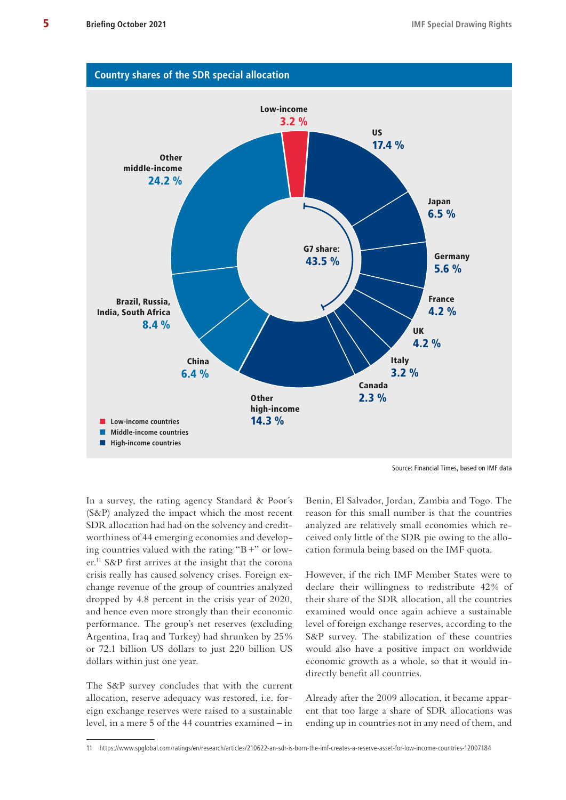

Source: Financial Times, based on IMF data

In a survey, the rating agency Standard & Poor´s (S&P) analyzed the impact which the most recent SDR allocation had had on the solvency and creditworthiness of 44 emerging economies and developing countries valued with the rating "B+" or lower.11 S&P first arrives at the insight that the corona crisis really has caused solvency crises. Foreign exchange revenue of the group of countries analyzed dropped by 4.8 percent in the crisis year of 2020, and hence even more strongly than their economic performance. The group's net reserves (excluding Argentina, Iraq and Turkey) had shrunken by 25% or 72.1 billion US dollars to just 220 billion US dollars within just one year.

The S&P survey concludes that with the current allocation, reserve adequacy was restored, i.e. foreign exchange reserves were raised to a sustainable level, in a mere 5 of the 44 countries examined – in

Benin, El Salvador, Jordan, Zambia and Togo. The reason for this small number is that the countries analyzed are relatively small economies which received only little of the SDR pie owing to the allocation formula being based on the IMF quota.

However, if the rich IMF Member States were to declare their willingness to redistribute 42% of their share of the SDR allocation, all the countries examined would once again achieve a sustainable level of foreign exchange reserves, according to the S&P survey. The stabilization of these countries would also have a positive impact on worldwide economic growth as a whole, so that it would indirectly benefit all countries.

Already after the 2009 allocation, it became apparent that too large a share of SDR allocations was ending up in countries not in any need of them, and

<sup>11</sup> <https://www.spglobal.com/ratings/en/research/articles/210622-an-sdr-is-born-the-imf-creates-a-reserve-asset-for-low-income-countries-12007184>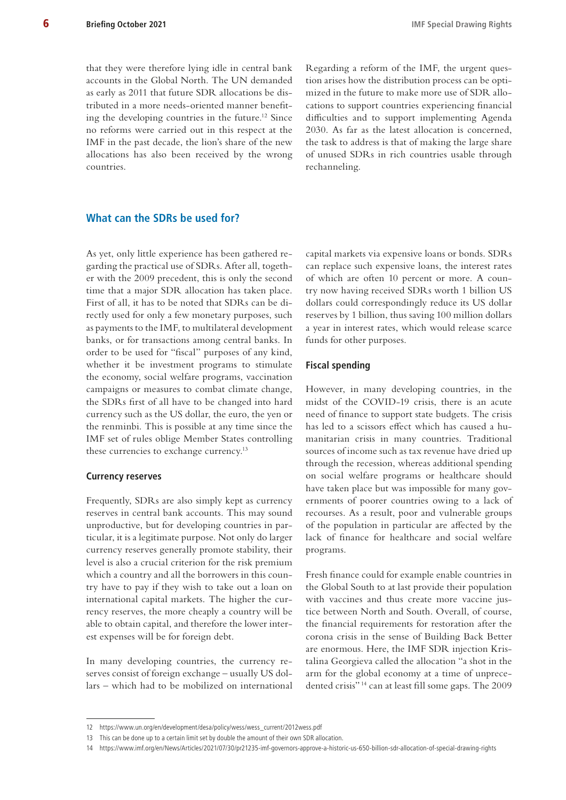<span id="page-5-0"></span>that they were therefore lying idle in central bank accounts in the Global North. The UN demanded as early as 2011 that future SDR allocations be distributed in a more needs-oriented manner benefiting the developing countries in the future.<sup>12</sup> Since no reforms were carried out in this respect at the IMF in the past decade, the lion's share of the new allocations has also been received by the wrong countries.

Regarding a reform of the IMF, the urgent question arises how the distribution process can be optimized in the future to make more use of SDR allocations to support countries experiencing financial difficulties and to support implementing Agenda 2030. As far as the latest allocation is concerned, the task to address is that of making the large share of unused SDRs in rich countries usable through rechanneling.

#### **What can the SDRs be used for?**

As yet, only little experience has been gathered regarding the practical use of SDRs. After all, together with the 2009 precedent, this is only the second time that a major SDR allocation has taken place. First of all, it has to be noted that SDRs can be directly used for only a few monetary purposes, such as payments to the IMF, to multilateral development banks, or for transactions among central banks. In order to be used for "fiscal" purposes of any kind, whether it be investment programs to stimulate the economy, social welfare programs, vaccination campaigns or measures to combat climate change, the SDRs first of all have to be changed into hard currency such as the US dollar, the euro, the yen or the renminbi. This is possible at any time since the IMF set of rules oblige Member States controlling these currencies to exchange currency.<sup>13</sup>

#### **Currency reserves**

Frequently, SDRs are also simply kept as currency reserves in central bank accounts. This may sound unproductive, but for developing countries in particular, it is a legitimate purpose. Not only do larger currency reserves generally promote stability, their level is also a crucial criterion for the risk premium which a country and all the borrowers in this country have to pay if they wish to take out a loan on international capital markets. The higher the currency reserves, the more cheaply a country will be able to obtain capital, and therefore the lower interest expenses will be for foreign debt.

In many developing countries, the currency reserves consist of foreign exchange – usually US dollars – which had to be mobilized on international

capital markets via expensive loans or bonds. SDRs can replace such expensive loans, the interest rates of which are often 10 percent or more. A country now having received SDRs worth 1 billion US dollars could correspondingly reduce its US dollar reserves by 1 billion, thus saving 100 million dollars a year in interest rates, which would release scarce funds for other purposes.

#### **Fiscal spending**

However, in many developing countries, in the midst of the COVID-19 crisis, there is an acute need of finance to support state budgets. The crisis has led to a scissors effect which has caused a humanitarian crisis in many countries. Traditional sources of income such as tax revenue have dried up through the recession, whereas additional spending on social welfare programs or healthcare should have taken place but was impossible for many governments of poorer countries owing to a lack of recourses. As a result, poor and vulnerable groups of the population in particular are affected by the lack of finance for healthcare and social welfare programs.

Fresh finance could for example enable countries in the Global South to at last provide their population with vaccines and thus create more vaccine justice between North and South. Overall, of course, the financial requirements for restoration after the corona crisis in the sense of Building Back Better are enormous. Here, the IMF SDR injection Kristalina Georgieva called the allocation "a shot in the arm for the global economy at a time of unprecedented crisis" 14 can at least fill some gaps. The 2009

<sup>12</sup> [https://www.un.org/en/development/desa/policy/wess/wess\\_current/2012wess.pdf](https://www.un.org/en/development/desa/policy/wess/wess_current/2012wess.pdf)

<sup>13</sup> This can be done up to a certain limit set by double the amount of their own SDR allocation.

<sup>14</sup> <https://www.imf.org/en/News/Articles/2021/07/30/pr21235-imf-governors-approve-a-historic-us-650-billion-sdr-allocation-of-special-drawing-rights>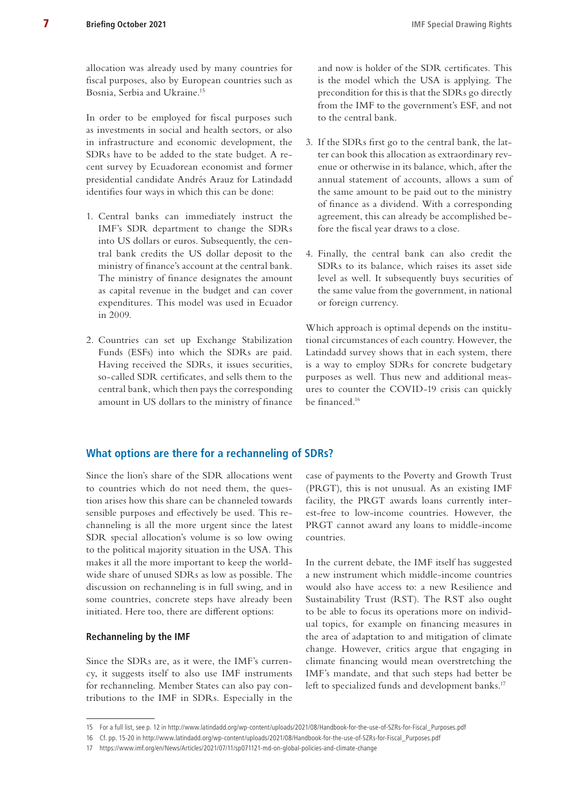<span id="page-6-0"></span>allocation was already used by many countries for fiscal purposes, also by European countries such as Bosnia, Serbia and Ukraine.15

In order to be employed for fiscal purposes such as investments in social and health sectors, or also in infrastructure and economic development, the SDRs have to be added to the state budget. A recent survey by Ecuadorean economist and former presidential candidate Andrés Arauz for Latindadd identifies four ways in which this can be done:

- 1. Central banks can immediately instruct the IMF's SDR department to change the SDRs into US dollars or euros. Subsequently, the central bank credits the US dollar deposit to the ministry of finance's account at the central bank. The ministry of finance designates the amount as capital revenue in the budget and can cover expenditures. This model was used in Ecuador in 2009.
- 2. Countries can set up Exchange Stabilization Funds (ESFs) into which the SDRs are paid. Having received the SDRs, it issues securities, so-called SDR certificates, and sells them to the central bank, which then pays the corresponding amount in US dollars to the ministry of finance

and now is holder of the SDR certificates. This is the model which the USA is applying. The precondition for this is that the SDRs go directly from the IMF to the government's ESF, and not to the central bank.

- 3. If the SDRs first go to the central bank, the latter can book this allocation as extraordinary revenue or otherwise in its balance, which, after the annual statement of accounts, allows a sum of the same amount to be paid out to the ministry of finance as a dividend. With a corresponding agreement, this can already be accomplished before the fiscal year draws to a close.
- 4. Finally, the central bank can also credit the SDRs to its balance, which raises its asset side level as well. It subsequently buys securities of the same value from the government, in national or foreign currency.

Which approach is optimal depends on the institutional circumstances of each country. However, the Latindadd survey shows that in each system, there is a way to employ SDRs for concrete budgetary purposes as well. Thus new and additional measures to counter the COVID-19 crisis can quickly be financed.16

## **What options are there for a rechanneling of SDRs?**

Since the lion's share of the SDR allocations went to countries which do not need them, the question arises how this share can be channeled towards sensible purposes and effectively be used. This rechanneling is all the more urgent since the latest SDR special allocation's volume is so low owing to the political majority situation in the USA. This makes it all the more important to keep the worldwide share of unused SDRs as low as possible. The discussion on rechanneling is in full swing, and in some countries, concrete steps have already been initiated. Here too, there are different options:

#### **Rechanneling by the IMF**

Since the SDRs are, as it were, the IMF's currency, it suggests itself to also use IMF instruments for rechanneling. Member States can also pay contributions to the IMF in SDRs. Especially in the

case of payments to the Poverty and Growth Trust (PRGT), this is not unusual. As an existing IMF facility, the PRGT awards loans currently interest-free to low-income countries. However, the PRGT cannot award any loans to middle-income countries.

In the current debate, the IMF itself has suggested a new instrument which middle-income countries would also have access to: a new Resilience and Sustainability Trust (RST). The RST also ought to be able to focus its operations more on individual topics, for example on financing measures in the area of adaptation to and mitigation of climate change. However, critics argue that engaging in climate financing would mean overstretching the IMF's mandate, and that such steps had better be left to specialized funds and development banks.<sup>17</sup>

<sup>15</sup> For a full list, see p. 12 in [http://www.latindadd.org/wp-content/uploads/2021/08/Handbook-for-the-use-of-SZRs-for-Fiscal\\_Purposes.pdf](http://www.latindadd.org/wp-content/uploads/2021/08/Handbook-for-the-use-of-SZRs-for-Fiscal_Purposes.pdf)

<sup>16</sup> Cf. pp. 15-20 in [http://www.latindadd.org/wp-content/uploads/2021/08/Handbook-for-the-use-of-SZRs-for-Fiscal\\_Purposes.pdf](http://www.latindadd.org/wp-content/uploads/2021/08/Handbook-for-the-use-of-SZRs-for-Fiscal_Purposes.pdf)

<sup>17</sup> <https://www.imf.org/en/News/Articles/2021/07/11/sp071121-md-on-global-policies-and-climate-change>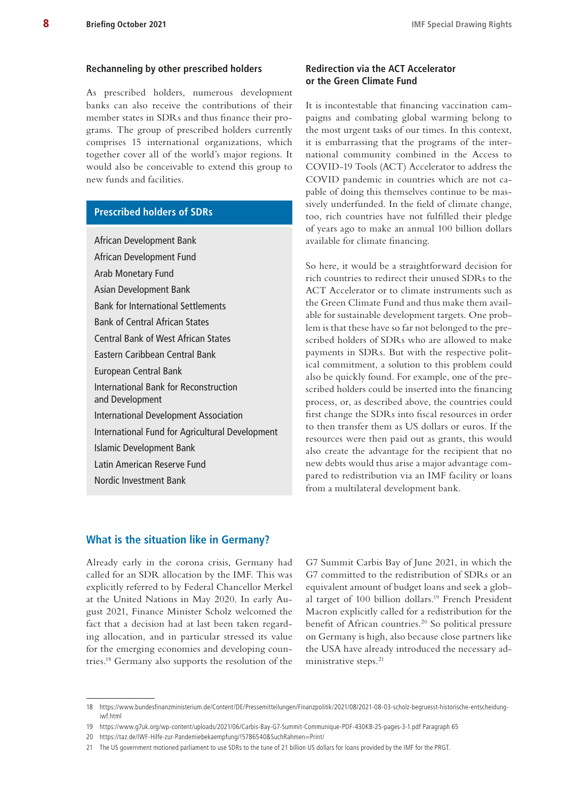#### <span id="page-7-0"></span>**Rechanneling by other prescribed holders**

As prescribed holders, numerous development banks can also receive the contributions of their member states in SDRs and thus finance their programs. The group of prescribed holders currently comprises 15 international organizations, which together cover all of the world's major regions. It would also be conceivable to extend this group to new funds and facilities.

# **Prescribed holders of SDRs**

African Development Bank African Development Fund Arab Monetary Fund Asian Development Bank Bank for International Settlements Bank of Central African States Central Bank of West African States Eastern Caribbean Central Bank European Central Bank International Bank for Reconstruction and Development International Development Association International Fund for Agricultural Development Islamic Development Bank Latin American Reserve Fund Nordic Investment Bank

# **Redirection via the ACT Accelerator or the Green Climate Fund**

It is incontestable that financing vaccination campaigns and combating global warming belong to the most urgent tasks of our times. In this context, it is embarrassing that the programs of the international community combined in the Access to COVID-19 Tools (ACT) Accelerator to address the COVID pandemic in countries which are not capable of doing this themselves continue to be massively underfunded. In the field of climate change, too, rich countries have not fulfilled their pledge of years ago to make an annual 100 billion dollars available for climate financing.

So here, it would be a straightforward decision for rich countries to redirect their unused SDRs to the ACT Accelerator or to climate instruments such as the Green Climate Fund and thus make them available for sustainable development targets. One problem is that these have so far not belonged to the prescribed holders of SDRs who are allowed to make payments in SDRs. But with the respective political commitment, a solution to this problem could also be quickly found. For example, one of the prescribed holders could be inserted into the financing process, or, as described above, the countries could first change the SDRs into fiscal resources in order to then transfer them as US dollars or euros. If the resources were then paid out as grants, this would also create the advantage for the recipient that no new debts would thus arise a major advantage compared to redistribution via an IMF facility or loans from a multilateral development bank.

#### **What is the situation like in Germany?**

Already early in the corona crisis, Germany had called for an SDR allocation by the IMF. This was explicitly referred to by Federal Chancellor Merkel at the United Nations in May 2020. In early August 2021, Finance Minister Scholz welcomed the fact that a decision had at last been taken regarding allocation, and in particular stressed its value for the emerging economies and developing countries.18 Germany also supports the resolution of the

G7 Summit Carbis Bay of June 2021, in which the G7 committed to the redistribution of SDRs or an equivalent amount of budget loans and seek a global target of 100 billion dollars.19 French President Macron explicitly called for a redistribution for the benefit of African countries.<sup>20</sup> So political pressure on Germany is high, also because close partners like the USA have already introduced the necessary administrative steps.<sup>21</sup>

<sup>18</sup> [https://www.bundesfinanzministerium.de/Content/DE/Pressemitteilungen/Finanzpolitik/2021/08/2021-08-03-scholz-begruesst-historische-entscheidung](https://www.bundesfinanzministerium.de/Content/DE/Pressemitteilungen/Finanzpolitik/2021/08/2021-08-03-scholz-begruesst-historische-entscheidung-iwf.html)[iwf.html](https://www.bundesfinanzministerium.de/Content/DE/Pressemitteilungen/Finanzpolitik/2021/08/2021-08-03-scholz-begruesst-historische-entscheidung-iwf.html)

<sup>19</sup> <https://www.g7uk.org/wp-content/uploads/2021/06/Carbis-Bay-G7-Summit-Communique-PDF-430KB-25-pages-3-1.pdf>Paragraph 65

<sup>20</sup> <https://taz.de/IWF-Hilfe-zur-Pandemiebekaempfung/!5786540&SuchRahmen=Print/>

<sup>21</sup> The US government motioned parliament to use SDRs to the tune of 21 billion US dollars for loans provided by the IMF for the PRGT.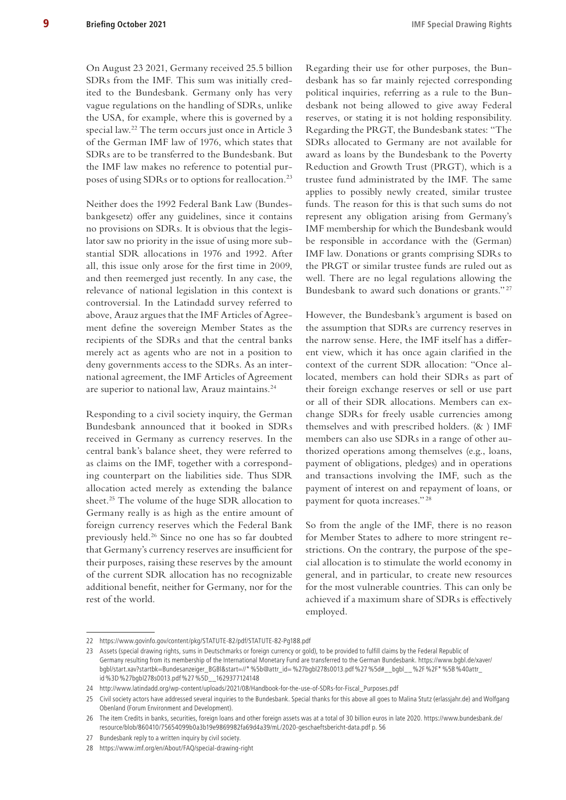On August 23 2021, Germany received 25.5 billion SDRs from the IMF. This sum was initially credited to the Bundesbank. Germany only has very vague regulations on the handling of SDRs, unlike the USA, for example, where this is governed by a special law.22 The term occurs just once in Article 3 of the German IMF law of 1976, which states that SDRs are to be transferred to the Bundesbank. But the IMF law makes no reference to potential purposes of using SDRs or to options for reallocation.<sup>23</sup>

Neither does the 1992 Federal Bank Law (Bundesbankgesetz) offer any guidelines, since it contains no provisions on SDRs. It is obvious that the legislator saw no priority in the issue of using more substantial SDR allocations in 1976 and 1992. After all, this issue only arose for the first time in 2009, and then reemerged just recently. In any case, the relevance of national legislation in this context is controversial. In the Latindadd survey referred to above, Arauz argues that the IMF Articles of Agreement define the sovereign Member States as the recipients of the SDRs and that the central banks merely act as agents who are not in a position to deny governments access to the SDRs. As an international agreement, the IMF Articles of Agreement are superior to national law, Arauz maintains.<sup>24</sup>

Responding to a civil society inquiry, the German Bundesbank announced that it booked in SDRs received in Germany as currency reserves. In the central bank's balance sheet, they were referred to as claims on the IMF, together with a corresponding counterpart on the liabilities side. Thus SDR allocation acted merely as extending the balance sheet.<sup>25</sup> The volume of the huge SDR allocation to Germany really is as high as the entire amount of foreign currency reserves which the Federal Bank previously held.26 Since no one has so far doubted that Germany's currency reserves are insufficient for their purposes, raising these reserves by the amount of the current SDR allocation has no recognizable additional benefit, neither for Germany, nor for the rest of the world.

Regarding their use for other purposes, the Bundesbank has so far mainly rejected corresponding political inquiries, referring as a rule to the Bundesbank not being allowed to give away Federal reserves, or stating it is not holding responsibility. Regarding the PRGT, the Bundesbank states: "The SDRs allocated to Germany are not available for award as loans by the Bundesbank to the Poverty Reduction and Growth Trust (PRGT), which is a trustee fund administrated by the IMF. The same applies to possibly newly created, similar trustee funds. The reason for this is that such sums do not represent any obligation arising from Germany's IMF membership for which the Bundesbank would be responsible in accordance with the (German) IMF law. Donations or grants comprising SDRs to the PRGT or similar trustee funds are ruled out as well. There are no legal regulations allowing the Bundesbank to award such donations or grants." <sup>27</sup>

However, the Bundesbank's argument is based on the assumption that SDRs are currency reserves in the narrow sense. Here, the IMF itself has a different view, which it has once again clarified in the context of the current SDR allocation: "Once allocated, members can hold their SDRs as part of their foreign exchange reserves or sell or use part or all of their SDR allocations. Members can exchange SDRs for freely usable currencies among themselves and with prescribed holders. (& ) IMF members can also use SDRs in a range of other authorized operations among themselves (e.g., loans, payment of obligations, pledges) and in operations and transactions involving the IMF, such as the payment of interest on and repayment of loans, or payment for quota increases." <sup>28</sup>

So from the angle of the IMF, there is no reason for Member States to adhere to more stringent restrictions. On the contrary, the purpose of the special allocation is to stimulate the world economy in general, and in particular, to create new resources for the most vulnerable countries. This can only be achieved if a maximum share of SDRs is effectively employed.

<sup>22</sup> <https://www.govinfo.gov/content/pkg/STATUTE-82/pdf/STATUTE-82-Pg188.pdf>

<sup>23</sup> Assets (special drawing rights, sums in Deutschmarks or foreign currency or gold), to be provided to fulfill claims by the Federal Republic of Germany resulting from its membership of the International Monetary Fund are transferred to the German Bundesbank. [https://www.bgbl.de/xaver/](https://www.bgbl.de/xaver/bgbl/start.xav?startbk=Bundesanzeiger_BGBl&start=//*) [bgbl/start.xav?startbk=Bundesanzeiger\\_BGBl&start=//\\*](https://www.bgbl.de/xaver/bgbl/start.xav?startbk=Bundesanzeiger_BGBl&start=//*)%5b@attr\_id=%27bgbl278s0013.pdf%27%5d#\_\_bgbl\_\_%2F%2F\*%5B%40attr\_ id%3D%27bgbl278s0013.pdf%27%5D\_\_1629377124148

<sup>24</sup> [http://www.latindadd.org/wp-content/uploads/2021/08/Handbook-for-the-use-of-SDRs-for-Fiscal\\_Purposes.pdf](http://www.latindadd.org/wp-content/uploads/2021/08/Handbook-for-the-use-of-SDRs-for-Fiscal_Purposes.pdf)

<sup>25</sup> Civil society actors have addressed several inquiries to the Bundesbank. Special thanks for this above all goes to Malina Stutz [\(erlassjahr.de\)](http://erlassjahr.de) and Wolfgang Obenland (Forum Environment and Development).

<sup>26</sup> The item Credits in banks, securities, foreign loans and other foreign assets was at a total of 30 billion euros in late 2020. [https://www.bundesbank.de/](https://www.bundesbank.de/resource/blob/860410/75654099b0a3b19e9869982fa69d4a39/mL/2020-geschaeftsbericht-data.pdf) [resource/blob/860410/75654099b0a3b19e9869982fa69d4a39/mL/2020-geschaeftsbericht-data.pdf](https://www.bundesbank.de/resource/blob/860410/75654099b0a3b19e9869982fa69d4a39/mL/2020-geschaeftsbericht-data.pdf) p. 56

<sup>27</sup> Bundesbank reply to a written inquiry by civil society.

<sup>28</sup> <https://www.imf.org/en/About/FAQ/special-drawing-right>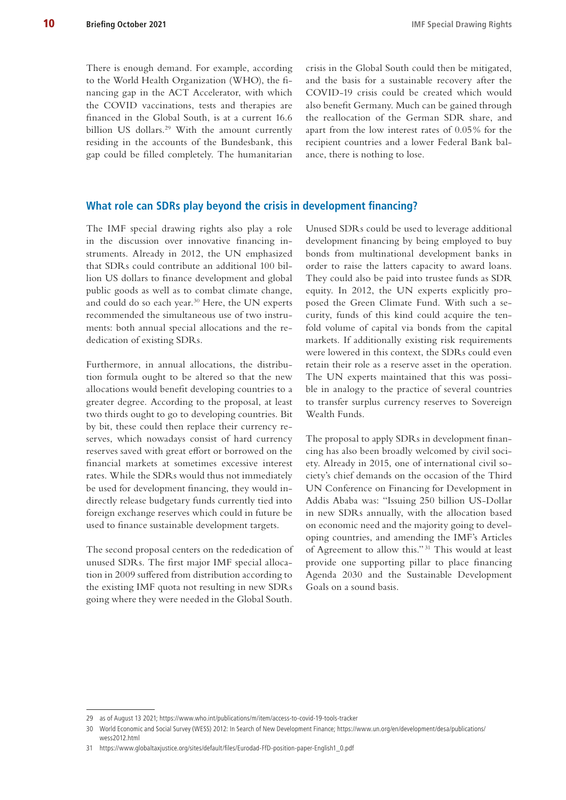<span id="page-9-0"></span>There is enough demand. For example, according to the World Health Organization (WHO), the financing gap in the ACT Accelerator, with which the COVID vaccinations, tests and therapies are financed in the Global South, is at a current 16.6 billion US dollars.<sup>29</sup> With the amount currently residing in the accounts of the Bundesbank, this gap could be filled completely. The humanitarian

crisis in the Global South could then be mitigated, and the basis for a sustainable recovery after the COVID-19 crisis could be created which would also benefit Germany. Much can be gained through the reallocation of the German SDR share, and apart from the low interest rates of 0.05% for the recipient countries and a lower Federal Bank balance, there is nothing to lose.

## **What role can SDRs play beyond the crisis in development financing?**

The IMF special drawing rights also play a role in the discussion over innovative financing instruments. Already in 2012, the UN emphasized that SDRs could contribute an additional 100 billion US dollars to finance development and global public goods as well as to combat climate change, and could do so each year.<sup>30</sup> Here, the UN experts recommended the simultaneous use of two instruments: both annual special allocations and the rededication of existing SDRs.

Furthermore, in annual allocations, the distribution formula ought to be altered so that the new allocations would benefit developing countries to a greater degree. According to the proposal, at least two thirds ought to go to developing countries. Bit by bit, these could then replace their currency reserves, which nowadays consist of hard currency reserves saved with great effort or borrowed on the financial markets at sometimes excessive interest rates. While the SDRs would thus not immediately be used for development financing, they would indirectly release budgetary funds currently tied into foreign exchange reserves which could in future be used to finance sustainable development targets.

The second proposal centers on the rededication of unused SDRs. The first major IMF special allocation in 2009 suffered from distribution according to the existing IMF quota not resulting in new SDRs going where they were needed in the Global South.

Unused SDRs could be used to leverage additional development financing by being employed to buy bonds from multinational development banks in order to raise the latters capacity to award loans. They could also be paid into trustee funds as SDR equity. In 2012, the UN experts explicitly proposed the Green Climate Fund. With such a security, funds of this kind could acquire the tenfold volume of capital via bonds from the capital markets. If additionally existing risk requirements were lowered in this context, the SDRs could even retain their role as a reserve asset in the operation. The UN experts maintained that this was possible in analogy to the practice of several countries to transfer surplus currency reserves to Sovereign Wealth Funds.

The proposal to apply SDRs in development financing has also been broadly welcomed by civil society. Already in 2015, one of international civil society's chief demands on the occasion of the Third UN Conference on Financing for Development in Addis Ababa was: "Issuing 250 billion US-Dollar in new SDRs annually, with the allocation based on economic need and the majority going to developing countries, and amending the IMF's Articles of Agreement to allow this." 31 This would at least provide one supporting pillar to place financing Agenda 2030 and the Sustainable Development Goals on a sound basis.

<sup>29</sup> as of August 13 2021; <https://www.who.int/publications/m/item/access-to-covid-19-tools-tracker>

<sup>30</sup> World Economic and Social Survey (WESS) 2012: In Search of New Development Finance; [https://www.un.org/en/development/desa/publications/](https://www.un.org/en/development/desa/publications/wess2012.html) [wess2012.html](https://www.un.org/en/development/desa/publications/wess2012.html)

<sup>31</sup> [https://www.globaltaxjustice.org/sites/default/files/Eurodad-FfD-position-paper-English1\\_0.pdf](https://www.globaltaxjustice.org/sites/default/files/Eurodad-FfD-position-paper-English1_0.pdf)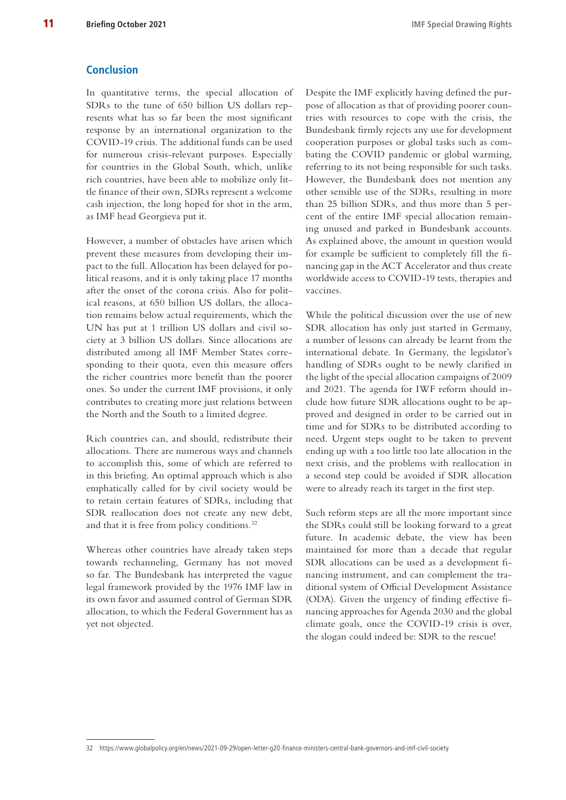#### <span id="page-10-0"></span>**Conclusion**

In quantitative terms, the special allocation of SDRs to the tune of 650 billion US dollars represents what has so far been the most significant response by an international organization to the COVID-19 crisis. The additional funds can be used for numerous crisis-relevant purposes. Especially for countries in the Global South, which, unlike rich countries, have been able to mobilize only little finance of their own, SDRs represent a welcome cash injection, the long hoped for shot in the arm, as IMF head Georgieva put it.

However, a number of obstacles have arisen which prevent these measures from developing their impact to the full. Allocation has been delayed for political reasons, and it is only taking place 17 months after the onset of the corona crisis. Also for political reasons, at 650 billion US dollars, the allocation remains below actual requirements, which the UN has put at 1 trillion US dollars and civil society at 3 billion US dollars. Since allocations are distributed among all IMF Member States corresponding to their quota, even this measure offers the richer countries more benefit than the poorer ones. So under the current IMF provisions, it only contributes to creating more just relations between the North and the South to a limited degree.

Rich countries can, and should, redistribute their allocations. There are numerous ways and channels to accomplish this, some of which are referred to in this briefing. An optimal approach which is also emphatically called for by civil society would be to retain certain features of SDRs, including that SDR reallocation does not create any new debt, and that it is free from policy conditions.<sup>32</sup>

Whereas other countries have already taken steps towards rechanneling, Germany has not moved so far. The Bundesbank has interpreted the vague legal framework provided by the 1976 IMF law in its own favor and assumed control of German SDR allocation, to which the Federal Government has as yet not objected.

Despite the IMF explicitly having defined the purpose of allocation as that of providing poorer countries with resources to cope with the crisis, the Bundesbank firmly rejects any use for development cooperation purposes or global tasks such as combating the COVID pandemic or global warming, referring to its not being responsible for such tasks. However, the Bundesbank does not mention any other sensible use of the SDRs, resulting in more than 25 billion SDRs, and thus more than 5 percent of the entire IMF special allocation remaining unused and parked in Bundesbank accounts. As explained above, the amount in question would for example be sufficient to completely fill the financing gap in the ACT Accelerator and thus create worldwide access to COVID-19 tests, therapies and vaccines.

While the political discussion over the use of new SDR allocation has only just started in Germany, a number of lessons can already be learnt from the international debate. In Germany, the legislator's handling of SDRs ought to be newly clarified in the light of the special allocation campaigns of 2009 and 2021. The agenda for IWF reform should include how future SDR allocations ought to be approved and designed in order to be carried out in time and for SDRs to be distributed according to need. Urgent steps ought to be taken to prevent ending up with a too little too late allocation in the next crisis, and the problems with reallocation in a second step could be avoided if SDR allocation were to already reach its target in the first step.

Such reform steps are all the more important since the SDRs could still be looking forward to a great future. In academic debate, the view has been maintained for more than a decade that regular SDR allocations can be used as a development financing instrument, and can complement the traditional system of Official Development Assistance (ODA). Given the urgency of finding effective financing approaches for Agenda 2030 and the global climate goals, once the COVID-19 crisis is over, the slogan could indeed be: SDR to the rescue!

<sup>32</sup> <https://www.globalpolicy.org/en/news/2021-09-29/open-letter-g20-finance-ministers-central-bank-governors-and-imf-civil-society>